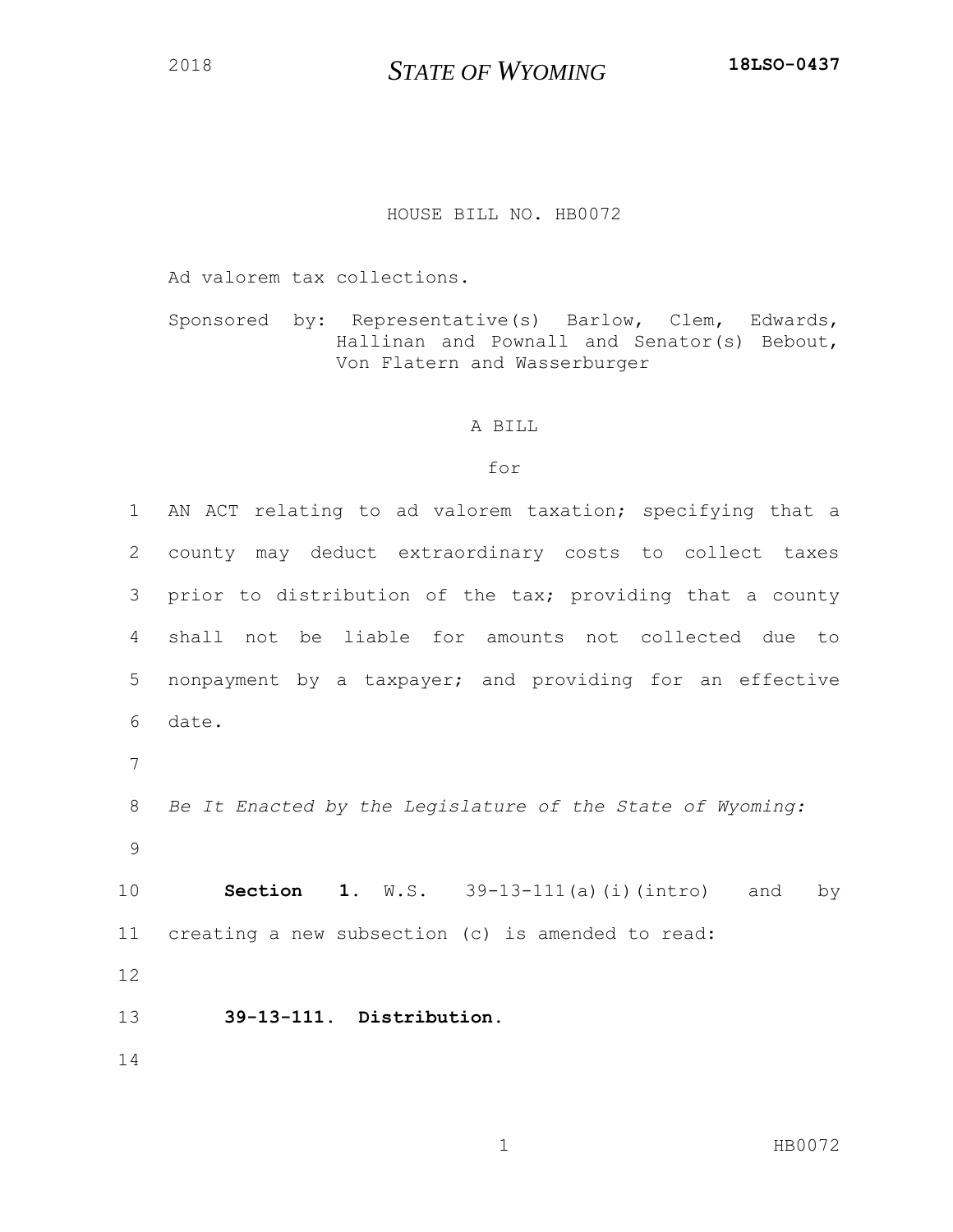## *STATE OF WYOMING* **18LSO-0437**

## HOUSE BILL NO. HB0072

Ad valorem tax collections.

Sponsored by: Representative(s) Barlow, Clem, Edwards, Hallinan and Pownall and Senator(s) Bebout, Von Flatern and Wasserburger

## A BILL

## for

 AN ACT relating to ad valorem taxation; specifying that a county may deduct extraordinary costs to collect taxes prior to distribution of the tax; providing that a county shall not be liable for amounts not collected due to nonpayment by a taxpayer; and providing for an effective date. *Be It Enacted by the Legislature of the State of Wyoming:* **Section 1.** W.S. 39-13-111(a)(i)(intro) and by creating a new subsection (c) is amended to read: **39-13-111. Distribution.**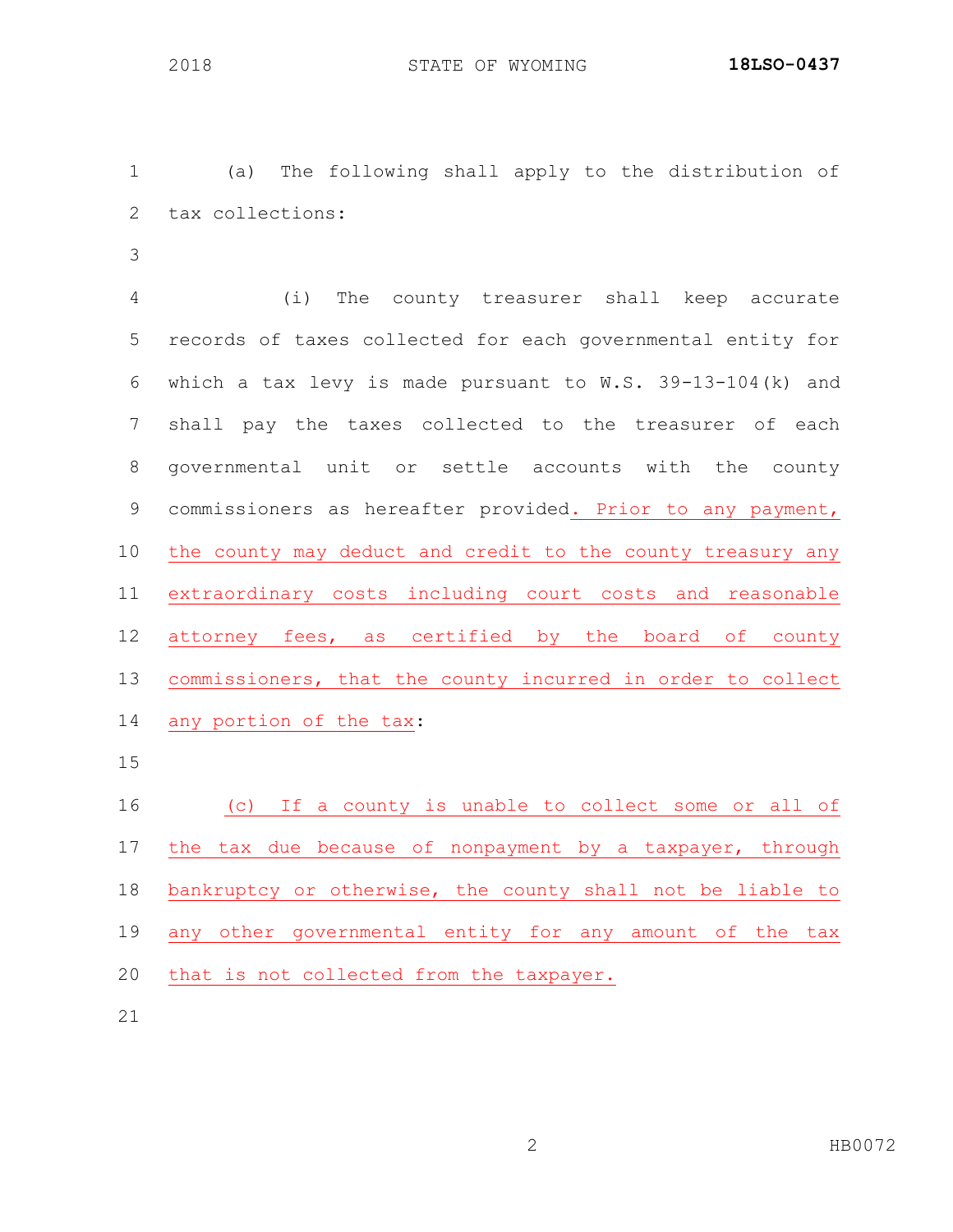(a) The following shall apply to the distribution of tax collections:

 (i) The county treasurer shall keep accurate records of taxes collected for each governmental entity for which a tax levy is made pursuant to W.S. 39-13-104(k) and shall pay the taxes collected to the treasurer of each governmental unit or settle accounts with the county commissioners as hereafter provided. Prior to any payment, the county may deduct and credit to the county treasury any extraordinary costs including court costs and reasonable attorney fees, as certified by the board of county commissioners, that the county incurred in order to collect any portion of the tax:

 (c) If a county is unable to collect some or all of the tax due because of nonpayment by a taxpayer, through bankruptcy or otherwise, the county shall not be liable to any other governmental entity for any amount of the tax that is not collected from the taxpayer.